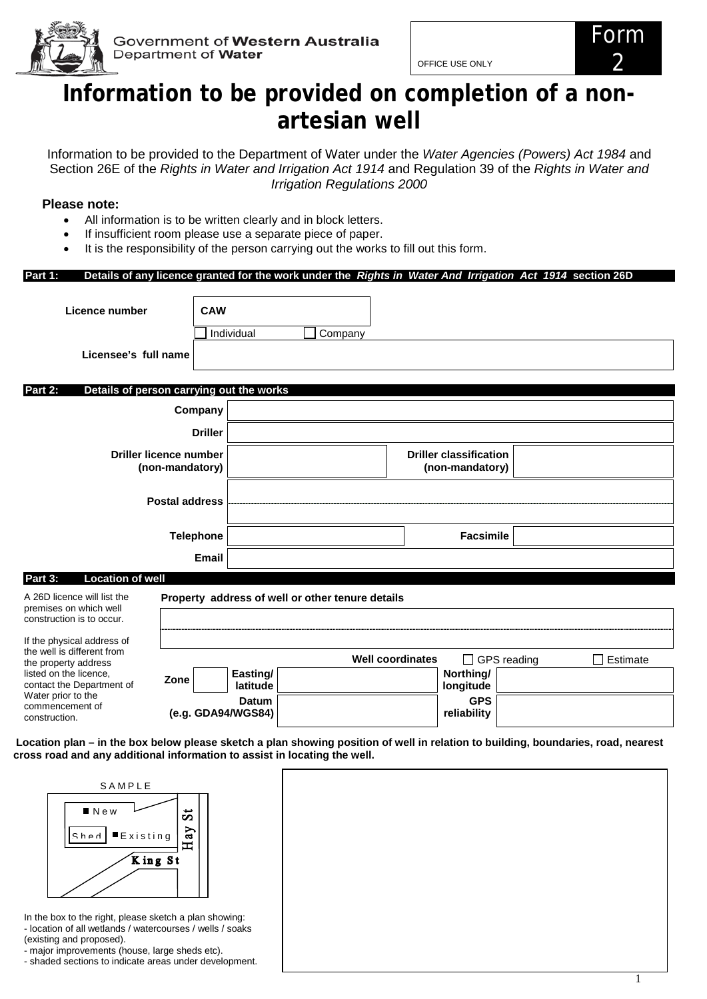

Government of Western Australia Department of Water

OFFICE USE ONLY

# **Information to be provided on completion of a nonartesian well**

Information to be provided to the Department of Water under the *Water Agencies (Powers) Act 1984* and Section 26E of the *Rights in Water and Irrigation Act 1914* and Regulation 39 of the *Rights in Water and Irrigation Regulations 2000*

# **Please note:**

- All information is to be written clearly and in block letters.
- If insufficient room please use a separate piece of paper.
- It is the responsibility of the person carrying out the works to fill out this form.

# **Part 1: Details of any licence granted for the work under the** *Rights in Water And Irrigation Act 1914* **section 26D**

| Licence number                                                                     | <b>CAW</b>                                       | Individual           | Company                                          |                         |                                                  |             |          |
|------------------------------------------------------------------------------------|--------------------------------------------------|----------------------|--------------------------------------------------|-------------------------|--------------------------------------------------|-------------|----------|
| Licensee's full name                                                               |                                                  |                      |                                                  |                         |                                                  |             |          |
| Part 2:<br>Details of person carrying out the works                                |                                                  |                      |                                                  |                         |                                                  |             |          |
|                                                                                    | Company                                          |                      |                                                  |                         |                                                  |             |          |
|                                                                                    | <b>Driller</b>                                   |                      |                                                  |                         |                                                  |             |          |
|                                                                                    | <b>Driller licence number</b><br>(non-mandatory) |                      |                                                  |                         | <b>Driller classification</b><br>(non-mandatory) |             |          |
|                                                                                    | <b>Postal address</b>                            |                      |                                                  |                         |                                                  |             |          |
|                                                                                    | <b>Telephone</b>                                 |                      |                                                  |                         | <b>Facsimile</b>                                 |             |          |
|                                                                                    | <b>Email</b>                                     |                      |                                                  |                         |                                                  |             |          |
| Part 3:<br><b>Location of well</b>                                                 |                                                  |                      |                                                  |                         |                                                  |             |          |
| A 26D licence will list the<br>premises on which well<br>construction is to occur. |                                                  |                      | Property address of well or other tenure details |                         |                                                  |             |          |
| If the physical address of<br>the well is different from                           |                                                  |                      |                                                  | <b>Well coordinates</b> |                                                  | GPS reading | Estimate |
| the property address<br>listed on the licence,<br>contact the Department of        | Zone                                             | Easting/<br>latitude |                                                  |                         | Northing/<br>longitude                           |             |          |
| Water prior to the<br>commencement of<br>construction.                             | (e.g. GDA94/WGS84)                               | <b>Datum</b>         |                                                  |                         | <b>GPS</b><br>reliability                        |             |          |

**Location plan – in the box below please sketch a plan showing position of well in relation to building, boundaries, road, nearest cross road and any additional information to assist in locating the well.**



In the box to the right, please sketch a plan showing: - location of all wetlands / watercourses / wells / soaks (existing and proposed).

- major improvements (house, large sheds etc).

- shaded sections to indicate areas under development.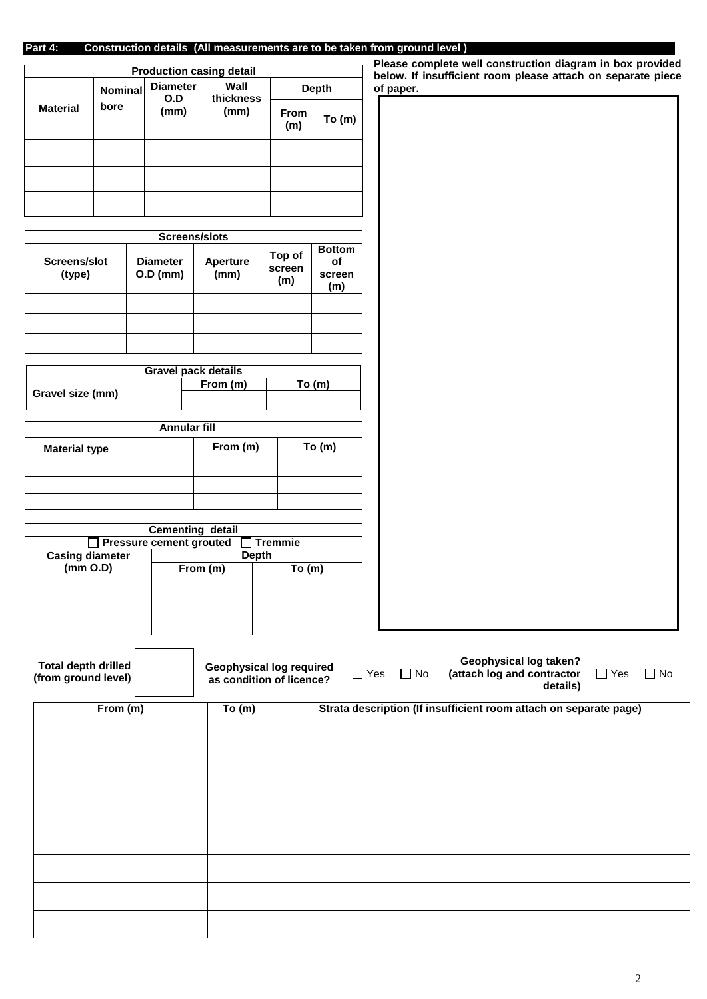# **Part 4: Construction details****(All measurements are to be taken from ground level )**

|                 |                | <b>Production casing detail</b> |                   |             |              |
|-----------------|----------------|---------------------------------|-------------------|-------------|--------------|
|                 | <b>Nominal</b> | <b>Diameter</b><br>O.D          | Wall<br>thickness |             | <b>Depth</b> |
| <b>Material</b> | bore           | (mm)                            | (mm)              | From<br>(m) | To(m)        |
|                 |                |                                 |                   |             |              |
|                 |                |                                 |                   |             |              |
|                 |                |                                 |                   |             |              |

|                        |                               | Screens/slots           |                         |                                      |
|------------------------|-------------------------------|-------------------------|-------------------------|--------------------------------------|
| Screens/slot<br>(type) | <b>Diameter</b><br>$O.D$ (mm) | <b>Aperture</b><br>(mm) | Top of<br>screen<br>(m) | <b>Bottom</b><br>оf<br>screen<br>(m) |
|                        |                               |                         |                         |                                      |
|                        |                               |                         |                         |                                      |
|                        |                               |                         |                         |                                      |

|                  | <b>Gravel pack details</b> |       |
|------------------|----------------------------|-------|
|                  | From (m)                   | To(m) |
| Gravel size (mm) |                            |       |
|                  |                            |       |

| Annular fill         |          |          |
|----------------------|----------|----------|
| <b>Material type</b> | From (m) | To $(m)$ |
|                      |          |          |
|                      |          |          |
|                      |          |          |

|                        | <b>Cementing detail</b>        |                |
|------------------------|--------------------------------|----------------|
|                        | <b>Pressure cement grouted</b> | <b>Tremmie</b> |
| <b>Casing diameter</b> |                                | Depth          |
| (mm O.D)               | From (m)                       | To(m)          |
|                        |                                |                |
|                        |                                |                |
|                        |                                |                |
|                        |                                |                |
|                        |                                |                |
|                        |                                |                |

**Please complete well construction diagram in box provided below. If insufficient room please attach on separate piece of paper.**

| wpon. |  |  |
|-------|--|--|
|       |  |  |
|       |  |  |
|       |  |  |
|       |  |  |
|       |  |  |
|       |  |  |
|       |  |  |
|       |  |  |
|       |  |  |
|       |  |  |
|       |  |  |
|       |  |  |
|       |  |  |
|       |  |  |
|       |  |  |
|       |  |  |
|       |  |  |
|       |  |  |
|       |  |  |
|       |  |  |
|       |  |  |
|       |  |  |
|       |  |  |
|       |  |  |
|       |  |  |
|       |  |  |
|       |  |  |
|       |  |  |
|       |  |  |
|       |  |  |
|       |  |  |
|       |  |  |
|       |  |  |
|       |  |  |
|       |  |  |
|       |  |  |
|       |  |  |
|       |  |  |
|       |  |  |
|       |  |  |
|       |  |  |
|       |  |  |
|       |  |  |
|       |  |  |
|       |  |  |
|       |  |  |
|       |  |  |
|       |  |  |
|       |  |  |
|       |  |  |
|       |  |  |
|       |  |  |
|       |  |  |
|       |  |  |
|       |  |  |
|       |  |  |
|       |  |  |
|       |  |  |
|       |  |  |
|       |  |  |
|       |  |  |
|       |  |  |
|       |  |  |
|       |  |  |
|       |  |  |
|       |  |  |
|       |  |  |
|       |  |  |
|       |  |  |
|       |  |  |
|       |  |  |
|       |  |  |
|       |  |  |
|       |  |  |
|       |  |  |
|       |  |  |
|       |  |  |
|       |  |  |
|       |  |  |
|       |  |  |
|       |  |  |
|       |  |  |
|       |  |  |
|       |  |  |
|       |  |  |
|       |  |  |
|       |  |  |

| <b>Total depth drilled</b><br>(from ground level) | <b>Geophysical log required</b><br>as condition of licence? | $\Box$ Yes | $\Box$ No | <b>Geophysical log taken?</b><br>(attach log and contractor<br>details) | $\Box$ Yes | $\Box$ No |
|---------------------------------------------------|-------------------------------------------------------------|------------|-----------|-------------------------------------------------------------------------|------------|-----------|
| From (m)                                          | To (m)                                                      |            |           | Strata description (If insufficient room attach on separate page)       |            |           |
|                                                   |                                                             |            |           |                                                                         |            |           |
|                                                   |                                                             |            |           |                                                                         |            |           |
|                                                   |                                                             |            |           |                                                                         |            |           |
|                                                   |                                                             |            |           |                                                                         |            |           |
|                                                   |                                                             |            |           |                                                                         |            |           |
|                                                   |                                                             |            |           |                                                                         |            |           |
|                                                   |                                                             |            |           |                                                                         |            |           |
|                                                   |                                                             |            |           |                                                                         |            |           |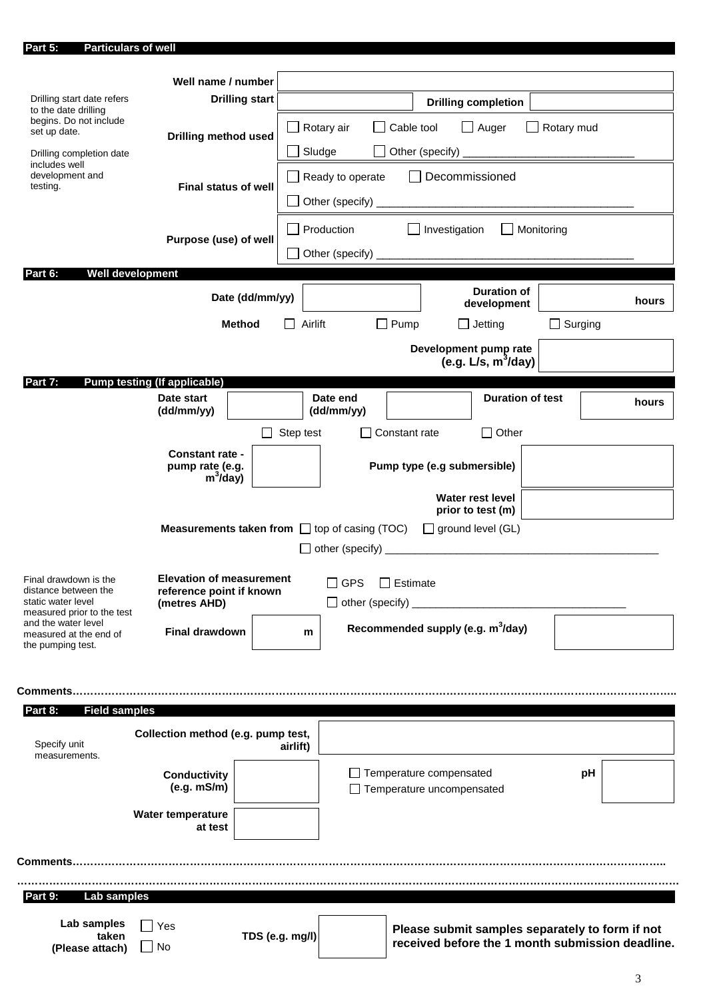| Part 5:<br><b>Particulars of well</b>              |                                     |                       |                          |                                                           |                 |                                                                                                                      |                |       |
|----------------------------------------------------|-------------------------------------|-----------------------|--------------------------|-----------------------------------------------------------|-----------------|----------------------------------------------------------------------------------------------------------------------|----------------|-------|
|                                                    |                                     |                       |                          |                                                           |                 |                                                                                                                      |                |       |
|                                                    | Well name / number                  |                       |                          |                                                           |                 |                                                                                                                      |                |       |
| Drilling start date refers<br>to the date drilling |                                     | <b>Drilling start</b> |                          |                                                           |                 | <b>Drilling completion</b>                                                                                           |                |       |
| begins. Do not include<br>set up date.             |                                     |                       |                          | Rotary air                                                | Cable tool      | $\Box$ Auger                                                                                                         | Rotary mud     |       |
|                                                    | <b>Drilling method used</b>         |                       |                          |                                                           |                 |                                                                                                                      |                |       |
| Drilling completion date<br>includes well          |                                     |                       | $\overline{\phantom{a}}$ | Sludge                                                    |                 | Other (specify)                                                                                                      |                |       |
| development and                                    |                                     |                       |                          | Ready to operate                                          |                 | Decommissioned                                                                                                       |                |       |
| testing.                                           | <b>Final status of well</b>         |                       | $\overline{\phantom{a}}$ | Other (specify) _                                         |                 |                                                                                                                      |                |       |
|                                                    |                                     |                       |                          |                                                           |                 |                                                                                                                      |                |       |
|                                                    | Purpose (use) of well               |                       | $\blacksquare$           | Production                                                |                 | $\Box$ Investigation                                                                                                 | Monitoring     |       |
|                                                    |                                     |                       | $\blacksquare$           |                                                           |                 |                                                                                                                      |                |       |
| Part 6:                                            | <b>Well development</b>             |                       |                          |                                                           |                 |                                                                                                                      |                |       |
|                                                    |                                     |                       |                          |                                                           |                 | <b>Duration of</b>                                                                                                   |                |       |
|                                                    |                                     | Date (dd/mm/yy)       |                          |                                                           |                 | development                                                                                                          |                | hours |
|                                                    |                                     | <b>Method</b>         |                          | Airlift                                                   | $\Box$ Pump     | $\square$ Jetting                                                                                                    | $\Box$ Surging |       |
|                                                    |                                     |                       |                          |                                                           |                 | Development pump rate                                                                                                |                |       |
|                                                    |                                     |                       |                          |                                                           |                 | (e.g. L/s, $m^3$ /day)                                                                                               |                |       |
| Part 7:                                            | <b>Pump testing (If applicable)</b> |                       |                          |                                                           |                 |                                                                                                                      |                |       |
|                                                    | Date start                          |                       |                          | Date end                                                  |                 | <b>Duration of test</b>                                                                                              |                | hours |
|                                                    | (dd/mm/yy)                          |                       |                          | (dd/mm/yy)                                                |                 |                                                                                                                      |                |       |
|                                                    |                                     |                       | Step test                |                                                           | Constant rate   | $\Box$ Other                                                                                                         |                |       |
|                                                    | Constant rate -                     |                       |                          |                                                           |                 |                                                                                                                      |                |       |
|                                                    | pump rate (e.g.<br>$m^3$ /day)      |                       |                          |                                                           |                 | Pump type (e.g submersible)                                                                                          |                |       |
|                                                    |                                     |                       |                          |                                                           |                 | <b>Water rest level</b>                                                                                              |                |       |
|                                                    |                                     |                       |                          |                                                           |                 | prior to test (m)                                                                                                    |                |       |
|                                                    |                                     |                       |                          | <b>Measurements taken from</b> $\Box$ top of casing (TOC) |                 | $\Box$ ground level (GL)                                                                                             |                |       |
|                                                    |                                     |                       |                          | $\Box$ other (specify)                                    |                 | <u> 1980 - Jan Barbarat, martin da basar da basar da basar da basar da basar da basar da basar da basar da basar</u> |                |       |
| Final drawdown is the                              | <b>Elevation of measurement</b>     |                       |                          |                                                           |                 |                                                                                                                      |                |       |
| distance between the                               | reference point if known            |                       |                          | $\Box$ GPS                                                | $\Box$ Estimate |                                                                                                                      |                |       |
| static water level<br>measured prior to the test   | (metres AHD)                        |                       |                          | $\Box$ other (specify)                                    |                 |                                                                                                                      |                |       |
| and the water level<br>measured at the end of      | <b>Final drawdown</b>               |                       | m                        |                                                           |                 | Recommended supply (e.g. m <sup>3</sup> /day)                                                                        |                |       |
| the pumping test.                                  |                                     |                       |                          |                                                           |                 |                                                                                                                      |                |       |
|                                                    |                                     |                       |                          |                                                           |                 |                                                                                                                      |                |       |
| Comments                                           |                                     |                       |                          |                                                           |                 |                                                                                                                      |                |       |
| Part 8:<br><b>Field samples</b>                    |                                     |                       |                          |                                                           |                 |                                                                                                                      |                |       |
|                                                    |                                     |                       |                          |                                                           |                 |                                                                                                                      |                |       |
| Specify unit                                       | Collection method (e.g. pump test,  |                       | airlift)                 |                                                           |                 |                                                                                                                      |                |       |
| measurements.                                      |                                     |                       |                          |                                                           |                 |                                                                                                                      |                |       |
|                                                    | <b>Conductivity</b>                 |                       |                          |                                                           |                 | $\Box$ Temperature compensated                                                                                       | pH             |       |
|                                                    | (e.g. mS/m)                         |                       |                          |                                                           |                 | □ Temperature uncompensated                                                                                          |                |       |
|                                                    | <b>Water temperature</b>            |                       |                          |                                                           |                 |                                                                                                                      |                |       |
|                                                    | at test                             |                       |                          |                                                           |                 |                                                                                                                      |                |       |
|                                                    |                                     |                       |                          |                                                           |                 |                                                                                                                      |                |       |
|                                                    |                                     |                       |                          |                                                           |                 |                                                                                                                      |                |       |
| Part 9:<br>Lab samples                             |                                     |                       |                          |                                                           |                 |                                                                                                                      |                |       |
|                                                    |                                     |                       |                          |                                                           |                 |                                                                                                                      |                |       |
| Lab samples<br>taken                               | Yes                                 |                       |                          |                                                           |                 | Please submit samples separately to form if not                                                                      |                |       |
| (Please attach)                                    | No                                  |                       | TDS (e.g. mg/l)          |                                                           |                 | received before the 1 month submission deadline.                                                                     |                |       |
|                                                    |                                     |                       |                          |                                                           |                 |                                                                                                                      |                |       |